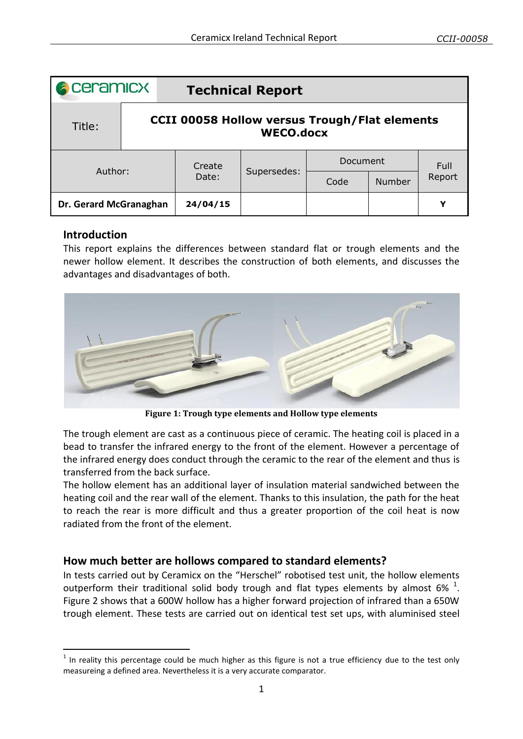| <b>A</b> ceramicx      |                                                                          | <b>Technical Report</b> |             |                 |               |        |
|------------------------|--------------------------------------------------------------------------|-------------------------|-------------|-----------------|---------------|--------|
| Title:                 | <b>CCII 00058 Hollow versus Trough/Flat elements</b><br><b>WECO.docx</b> |                         |             |                 |               |        |
| Author:                |                                                                          | Create<br>Date:         | Supersedes: | <b>Document</b> |               | Full   |
|                        |                                                                          |                         |             | Code            | <b>Number</b> | Report |
| Dr. Gerard McGranaghan |                                                                          | 24/04/15                |             |                 |               | Y      |

## **Introduction**

-

This report explains the differences between standard flat or trough elements and the newer hollow element. It describes the construction of both elements, and discusses the advantages and disadvantages of both.



**Figure 1: Trough type elements and Hollow type elements**

The trough element are cast as a continuous piece of ceramic. The heating coil is placed in a bead to transfer the infrared energy to the front of the element. However a percentage of the infrared energy does conduct through the ceramic to the rear of the element and thus is transferred from the back surface.

The hollow element has an additional layer of insulation material sandwiched between the heating coil and the rear wall of the element. Thanks to this insulation, the path for the heat to reach the rear is more difficult and thus a greater proportion of the coil heat is now radiated from the front of the element.

## **How much better are hollows compared to standard elements?**

In tests carried out by Ceramicx on the "Herschel" robotised test unit, the hollow elements outperform their traditional solid body trough and flat types elements by almost 6%  $^1$ . [Figure 2](#page-1-0) shows that a 600W hollow has a higher forward projection of infrared than a 650W trough element. These tests are carried out on identical test set ups, with aluminised steel

 $1$  In reality this percentage could be much higher as this figure is not a true efficiency due to the test only measureing a defined area. Nevertheless it is a very accurate comparator.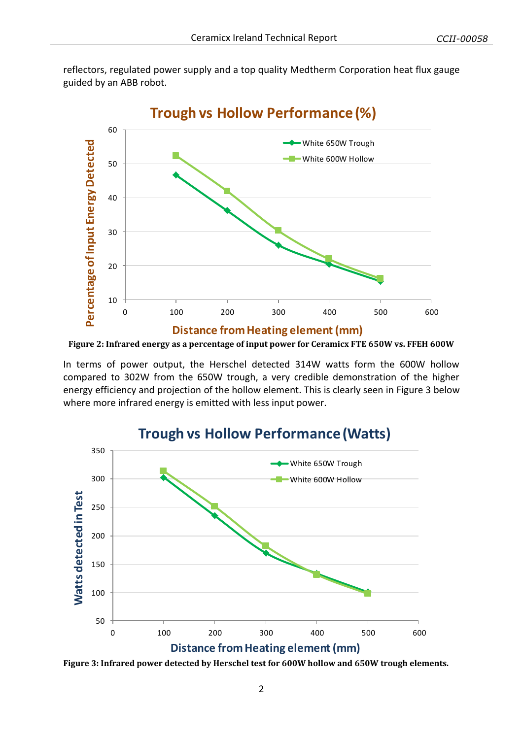reflectors, regulated power supply and a top quality Medtherm Corporation heat flux gauge guided by an ABB robot.



<span id="page-1-0"></span>**Figure 2: Infrared energy as a percentage of input power for Ceramicx FTE 650W vs. FFEH 600W**

In terms of power output, the Herschel detected 314W watts form the 600W hollow compared to 302W from the 650W trough, a very credible demonstration of the higher energy efficiency and projection of the hollow element. This is clearly seen in [Figure 3](#page-1-1) below where more infrared energy is emitted with less input power.



<span id="page-1-1"></span>